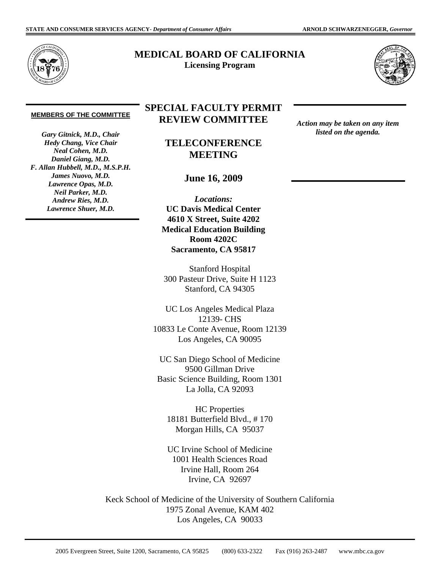

## **MEDICAL BOARD OF CALIFORNIA Licensing Program**



## **MEMBERS OF THE COMMITTEE**

*Gary Gitnick, M.D., Chair Hedy Chang, Vice Chair Neal Cohen, M.D. Daniel Giang, M.D. F. Allan Hubbell, M.D., M.S.P.H. James Nuovo, M.D. Lawrence Opas, M.D. Neil Parker, M.D. Andrew Ries, M.D. Lawrence Shuer, M.D.* 

## **SPECIAL FACULTY PERMIT REVIEW COMMITTEE**

**TELECONFERENCE MEETING** 

**June 16, 2009** 

*Locations:*  **UC Davis Medical Center 4610 X Street, Suite 4202 Medical Education Building Room 4202C Sacramento, CA 95817** 

Stanford Hospital 300 Pasteur Drive, Suite H 1123 Stanford, CA 94305

UC Los Angeles Medical Plaza 12139- CHS 10833 Le Conte Avenue, Room 12139 Los Angeles, CA 90095

UC San Diego School of Medicine 9500 Gillman Drive Basic Science Building, Room 1301 La Jolla, CA 92093

HC Properties 18181 Butterfield Blvd., # 170 Morgan Hills, CA 95037

UC Irvine School of Medicine 1001 Health Sciences Road Irvine Hall, Room 264 Irvine, CA 92697

Keck School of Medicine of the University of Southern California 1975 Zonal Avenue, KAM 402 Los Angeles, CA 90033

*Action may be taken on any item listed on the agenda.* 

2005 Evergreen Street, Suite 1200, Sacramento, CA 95825 (800) 633-2322 Fax (916) 263-2487 <www.mbc.ca.gov>